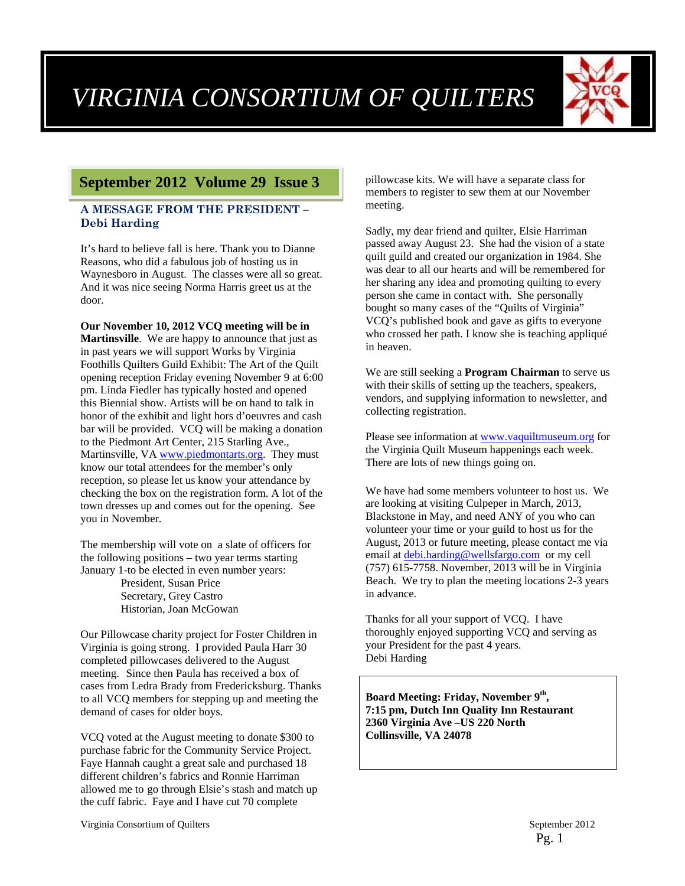

# **Brenda September 2012 Volume 29 Issue 3**

#### **A MESSAGE FROM THE PRESIDENT – Debi Harding**

It's hard to believe fall is here. Thank you to Dianne Reasons, who did a fabulous job of hosting us in Waynesboro in August. The classes were all so great. And it was nice seeing Norma Harris greet us at the door.

**Our November 10, 2012 VCQ meeting will be in Martinsville**. We are happy to announce that just as in past years we will support Works by Virginia Foothills Quilters Guild Exhibit: The Art of the Quilt opening reception Friday evening November 9 at 6:00 pm. Linda Fiedler has typically hosted and opened this Biennial show. Artists will be on hand to talk in honor of the exhibit and light hors d'oeuvres and cash bar will be provided. VCQ will be making a donation to the Piedmont Art Center, 215 Starling Ave., Martinsville, VA www.piedmontarts.org. They must know our total attendees for the member's only reception, so please let us know your attendance by checking the box on the registration form. A lot of the town dresses up and comes out for the opening. See you in November.

The membership will vote on a slate of officers for the following positions – two year terms starting January 1-to be elected in even number years: President, Susan Price Secretary, Grey Castro Historian, Joan McGowan

Our Pillowcase charity project for Foster Children in Virginia is going strong. I provided Paula Harr 30 completed pillowcases delivered to the August meeting. Since then Paula has received a box of cases from Ledra Brady from Fredericksburg. Thanks to all VCQ members for stepping up and meeting the demand of cases for older boys.

VCQ voted at the August meeting to donate \$300 to purchase fabric for the Community Service Project. Faye Hannah caught a great sale and purchased 18 different children's fabrics and Ronnie Harriman allowed me to go through Elsie's stash and match up the cuff fabric. Faye and I have cut 70 complete

pillowcase kits. We will have a separate class for members to register to sew them at our November meeting.

Sadly, my dear friend and quilter, Elsie Harriman passed away August 23. She had the vision of a state quilt guild and created our organization in 1984. She was dear to all our hearts and will be remembered for her sharing any idea and promoting quilting to every person she came in contact with. She personally bought so many cases of the "Quilts of Virginia" VCQ's published book and gave as gifts to everyone who crossed her path. I know she is teaching appliqué in heaven.

We are still seeking a **Program Chairman** to serve us with their skills of setting up the teachers, speakers, vendors, and supplying information to newsletter, and collecting registration.

Please see information at www.vaquiltmuseum.org for the Virginia Quilt Museum happenings each week. There are lots of new things going on.

We have had some members volunteer to host us. We are looking at visiting Culpeper in March, 2013, Blackstone in May, and need ANY of you who can volunteer your time or your guild to host us for the August, 2013 or future meeting, please contact me via email at debi.harding@wellsfargo.com or my cell (757) 615-7758. November, 2013 will be in Virginia Beach. We try to plan the meeting locations 2-3 years in advance.

Thanks for all your support of VCQ. I have thoroughly enjoyed supporting VCQ and serving as your President for the past 4 years. Debi Harding

**Board Meeting: Friday, November 9th, 7:15 pm, Dutch Inn Quality Inn Restaurant 2360 Virginia Ave –US 220 North Collinsville, VA 24078**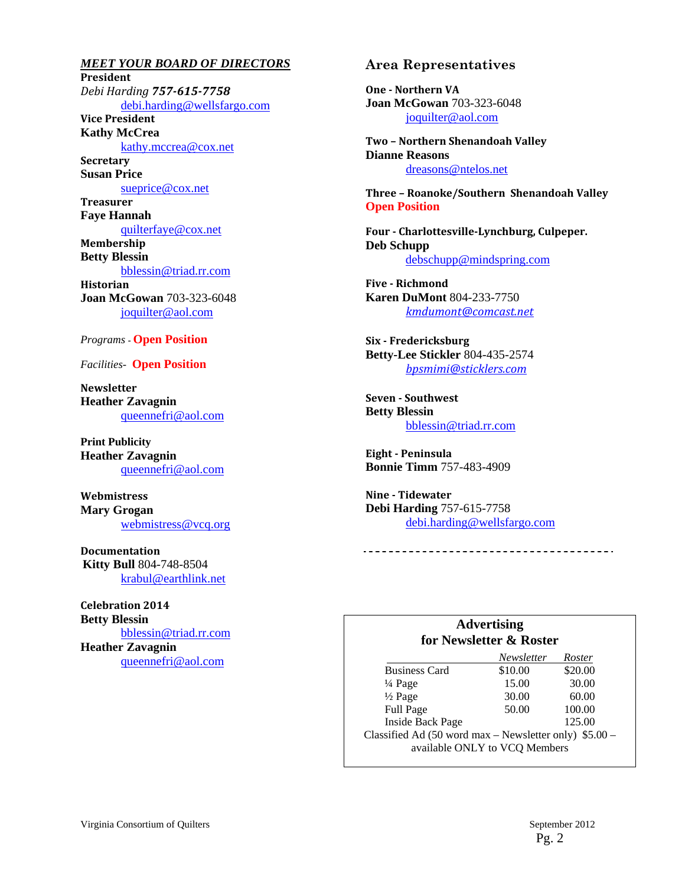*MEET YOUR BOARD OF DIRECTORS*  **President** *Debi Harding 757‐615‐7758* debi.harding@wellsfargo.com **Vice President Kathy McCrea**  kathy.mccrea@cox.net **Secretary Susan Price**  sueprice@cox.net **Treasurer Faye Hannah**  quilterfaye@cox.net **Membership Betty Blessin**  bblessin@triad.rr.com **Historian Joan McGowan** 703-323-6048 joquilter@aol.com

#### *Programs -* **Open Position**

*Facilities-* **Open Position** 

**Newsletter Heather Zavagnin**  queennefri@aol.com

**Print Publicity Heather Zavagnin**  queennefri@aol.com

**Webmistress Mary Grogan**  webmistress@vcq.org

**Documentation Kitty Bull** 804-748-8504 krabul@earthlink.net

**Celebration 2014 Betty Blessin**  bblessin@triad.rr.com **Heather Zavagnin**  queennefri@aol.com

#### **Area Representatives**

**One** - Northern VA **Joan McGowan** 703-323-6048 joquilter@aol.com

**Two – Northern Shenandoah Valley Dianne Reasons** dreasons@ntelos.net

**Three – Roanoke/Southern Shenandoah Valley Open Position** 

**Four ‐ Charlottesville‐Lynchburg, Culpeper. Deb Schupp** debschupp@mindspring.com

**Five ‐ Richmond Karen DuMont** 804-233-7750 *kmdumont@comcast.net*

**Six ‐ Fredericksburg Betty-Lee Stickler** 804-435-2574 *bpsmimi@sticklers.com*

**Seven ‐ Southwest Betty Blessin**  bblessin@triad.rr.com

**Eight ‐ Peninsula Bonnie Timm** 757-483-4909

**Nine** - Tidewater **Debi Harding** 757-615-7758 debi.harding@wellsfargo.com

#### **Advertising for Newsletter & Roster**

|                                                           | Newsletter | Roster  |  |
|-----------------------------------------------------------|------------|---------|--|
| <b>Business Card</b>                                      | \$10.00    | \$20.00 |  |
| $\frac{1}{4}$ Page                                        | 15.00      | 30.00   |  |
| $\frac{1}{2}$ Page                                        | 30.00      | 60.00   |  |
| Full Page                                                 | 50.00      | 100.00  |  |
| <b>Inside Back Page</b>                                   |            | 125.00  |  |
| Classified Ad $(50$ word max – Newsletter only) $$5.00$ – |            |         |  |
| available ONLY to VCQ Members                             |            |         |  |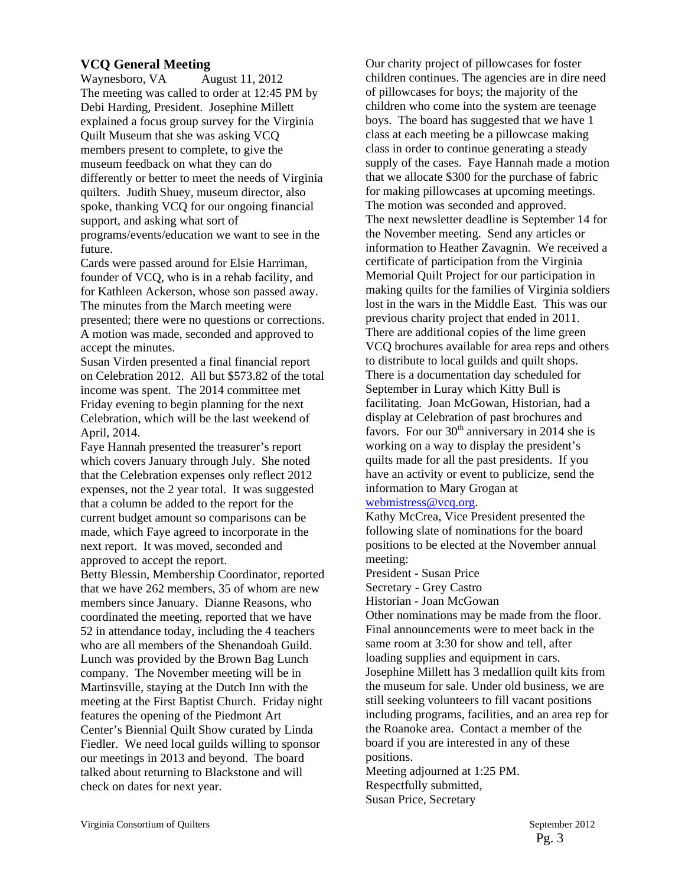#### **VCQ General Meeting**

Waynesboro, VA August 11, 2012 The meeting was called to order at 12:45 PM by Debi Harding, President. Josephine Millett explained a focus group survey for the Virginia Quilt Museum that she was asking VCQ members present to complete, to give the museum feedback on what they can do differently or better to meet the needs of Virginia quilters. Judith Shuey, museum director, also spoke, thanking VCQ for our ongoing financial support, and asking what sort of programs/events/education we want to see in the future.

Cards were passed around for Elsie Harriman, founder of VCQ, who is in a rehab facility, and for Kathleen Ackerson, whose son passed away. The minutes from the March meeting were presented; there were no questions or corrections. A motion was made, seconded and approved to accept the minutes.

Susan Virden presented a final financial report on Celebration 2012. All but \$573.82 of the total income was spent. The 2014 committee met Friday evening to begin planning for the next Celebration, which will be the last weekend of April, 2014.

Faye Hannah presented the treasurer's report which covers January through July. She noted that the Celebration expenses only reflect 2012 expenses, not the 2 year total. It was suggested that a column be added to the report for the current budget amount so comparisons can be made, which Faye agreed to incorporate in the next report. It was moved, seconded and approved to accept the report.

Betty Blessin, Membership Coordinator, reported that we have 262 members, 35 of whom are new members since January. Dianne Reasons, who coordinated the meeting, reported that we have 52 in attendance today, including the 4 teachers who are all members of the Shenandoah Guild. Lunch was provided by the Brown Bag Lunch company. The November meeting will be in Martinsville, staying at the Dutch Inn with the meeting at the First Baptist Church. Friday night features the opening of the Piedmont Art Center's Biennial Quilt Show curated by Linda Fiedler. We need local guilds willing to sponsor our meetings in 2013 and beyond. The board talked about returning to Blackstone and will check on dates for next year.

Our charity project of pillowcases for foster children continues. The agencies are in dire need of pillowcases for boys; the majority of the children who come into the system are teenage boys. The board has suggested that we have 1 class at each meeting be a pillowcase making class in order to continue generating a steady supply of the cases. Faye Hannah made a motion that we allocate \$300 for the purchase of fabric for making pillowcases at upcoming meetings. The motion was seconded and approved. The next newsletter deadline is September 14 for the November meeting. Send any articles or information to Heather Zavagnin. We received a certificate of participation from the Virginia Memorial Quilt Project for our participation in making quilts for the families of Virginia soldiers lost in the wars in the Middle East. This was our previous charity project that ended in 2011. There are additional copies of the lime green VCQ brochures available for area reps and others to distribute to local guilds and quilt shops. There is a documentation day scheduled for September in Luray which Kitty Bull is facilitating. Joan McGowan, Historian, had a display at Celebration of past brochures and favors. For our  $30<sup>th</sup>$  anniversary in 2014 she is working on a way to display the president's quilts made for all the past presidents. If you have an activity or event to publicize, send the information to Mary Grogan at

#### webmistress@vcq.org.

Kathy McCrea, Vice President presented the following slate of nominations for the board positions to be elected at the November annual meeting:

President - Susan Price

Secretary - Grey Castro

Historian - Joan McGowan

Other nominations may be made from the floor. Final announcements were to meet back in the same room at 3:30 for show and tell, after loading supplies and equipment in cars. Josephine Millett has 3 medallion quilt kits from the museum for sale. Under old business, we are still seeking volunteers to fill vacant positions including programs, facilities, and an area rep for the Roanoke area. Contact a member of the board if you are interested in any of these positions.

Meeting adjourned at 1:25 PM. Respectfully submitted, Susan Price, Secretary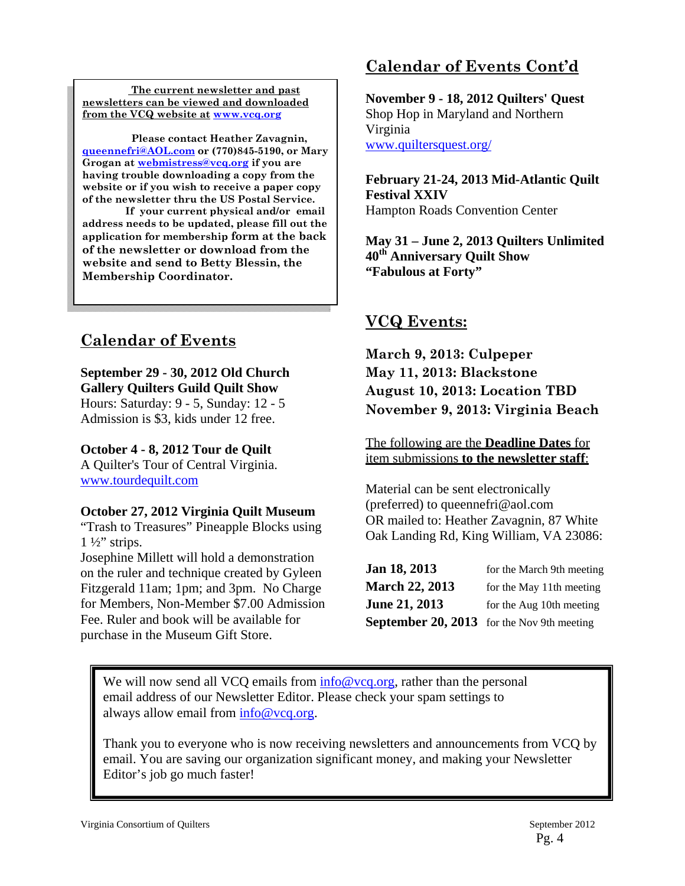**The current newsletter and past newsletters can be viewed and downloaded from the VCQ website at www.vcq.org**

 **Please contact Heather Zavagnin, queennefri@AOL.com or (770)845-5190, or Mary Grogan at webmistress@vcq.org if you are having trouble downloading a copy from the website or if you wish to receive a paper copy of the newsletter thru the US Postal Service.** 

 **If your current physical and/or email address needs to be updated, please fill out the application for membership form at the back of the newsletter or download from the website and send to Betty Blessin, the Membership Coordinator.** 

# **Calendar of Events**

**September 29 - 30, 2012 Old Church Gallery Quilters Guild Quilt Show** Hours: Saturday: 9 - 5, Sunday: 12 - 5

Admission is \$3, kids under 12 free.

### **October 4 - 8, 2012 Tour de Quilt**

A Quilter's Tour of Central Virginia. www.tourdequilt.com

### **October 27, 2012 Virginia Quilt Museum**

"Trash to Treasures" Pineapple Blocks using  $1\frac{1}{2}$ " strips.

Josephine Millett will hold a demonstration on the ruler and technique created by Gyleen Fitzgerald 11am; 1pm; and 3pm. No Charge for Members, Non-Member \$7.00 Admission Fee. Ruler and book will be available for purchase in the Museum Gift Store.

# **Calendar of Events Cont'd**

**November 9 - 18, 2012 Quilters' Quest** Shop Hop in Maryland and Northern Virginia www.quiltersquest.org/

**February 21-24, 2013 Mid-Atlantic Quilt Festival XXIV** Hampton Roads Convention Center

**May 31 – June 2, 2013 Quilters Unlimited 40th Anniversary Quilt Show "Fabulous at Forty"**

## **VCQ Events:**

**March 9, 2013: Culpeper May 11, 2013: Blackstone August 10, 2013: Location TBD November 9, 2013: Virginia Beach**

The following are the **Deadline Dates** for item submissions **to the newsletter staff**:

Material can be sent electronically (preferred) to queennefri@aol.com OR mailed to: Heather Zavagnin, 87 White Oak Landing Rd, King William, VA 23086:

| Jan 18, 2013                                      | for the March 9th meeting |
|---------------------------------------------------|---------------------------|
| <b>March 22, 2013</b>                             | for the May 11th meeting  |
| <b>June 21, 2013</b>                              | for the Aug 10th meeting  |
| <b>September 20, 2013</b> for the Nov 9th meeting |                           |

We will now send all VCQ emails from  $info@vcq.org$ , rather than the personal email address of our Newsletter Editor. Please check your spam settings to always allow email from  $info@vcq.org$ .

Thank you to everyone who is now receiving newsletters and announcements from VCQ by email. You are saving our organization significant money, and making your Newsletter Editor's job go much faster!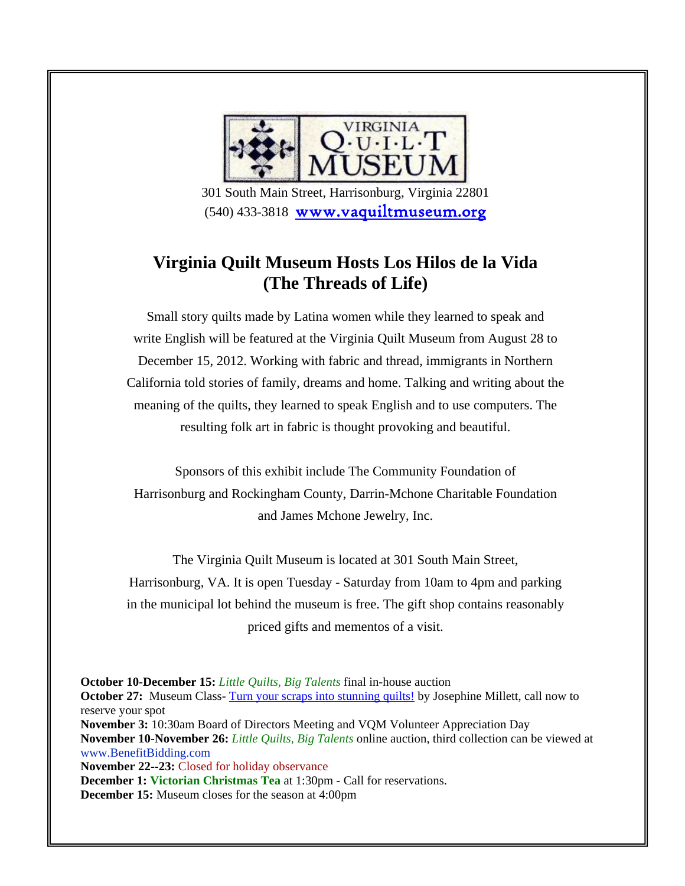

 301 South Main Street, Harrisonburg, Virginia 22801 (540) 433-3818 www.vaquiltmuseum.org

# **Virginia Quilt Museum Hosts Los Hilos de la Vida (The Threads of Life)**

Small story quilts made by Latina women while they learned to speak and write English will be featured at the Virginia Quilt Museum from August 28 to December 15, 2012. Working with fabric and thread, immigrants in Northern California told stories of family, dreams and home. Talking and writing about the meaning of the quilts, they learned to speak English and to use computers. The resulting folk art in fabric is thought provoking and beautiful.

Sponsors of this exhibit include The Community Foundation of Harrisonburg and Rockingham County, Darrin-Mchone Charitable Foundation and James Mchone Jewelry, Inc.

The Virginia Quilt Museum is located at 301 South Main Street, Harrisonburg, VA. It is open Tuesday - Saturday from 10am to 4pm and parking in the municipal lot behind the museum is free. The gift shop contains reasonably priced gifts and mementos of a visit.

**October 10-December 15:** *Little Quilts, Big Talents* final in-house auction **October 27:** Museum Class-Turn your scraps into stunning quilts! by Josephine Millett, call now to reserve your spot **November 3:** 10:30am Board of Directors Meeting and VQM Volunteer Appreciation Day **November 10-November 26:** *Little Quilts, Big Talents* online auction, third collection can be viewed at www.BenefitBidding.com **November 22--23:** Closed for holiday observance **December 1: Victorian Christmas Tea** at 1:30pm - Call for reservations. **December 15:** Museum closes for the season at 4:00pm

Pg. 5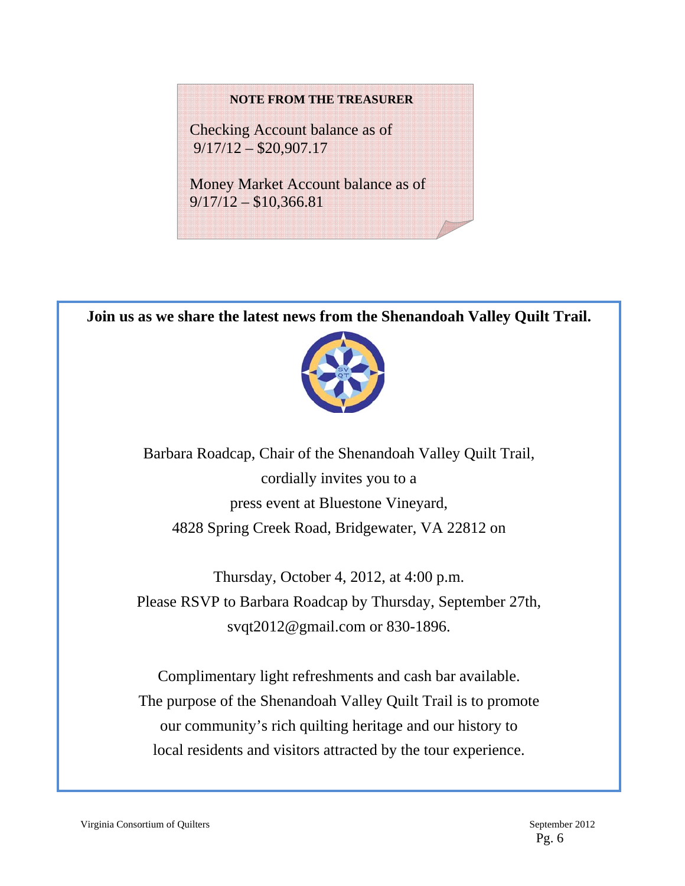#### **NOTE FROM THE TREASURER**

Checking Account balance as of 9/17/12 – \$20,907.17

Money Market Account balance as of 9/17/12 – \$10,366.81

**Join us as we share the latest news from the Shenandoah Valley Quilt Trail.** 



Barbara Roadcap, Chair of the Shenandoah Valley Quilt Trail, cordially invites you to a press event at Bluestone Vineyard, 4828 Spring Creek Road, Bridgewater, VA 22812 on

Thursday, October 4, 2012, at 4:00 p.m. Please RSVP to Barbara Roadcap by Thursday, September 27th, svqt2012@gmail.com or 830-1896.

Complimentary light refreshments and cash bar available. The purpose of the Shenandoah Valley Quilt Trail is to promote our community's rich quilting heritage and our history to local residents and visitors attracted by the tour experience.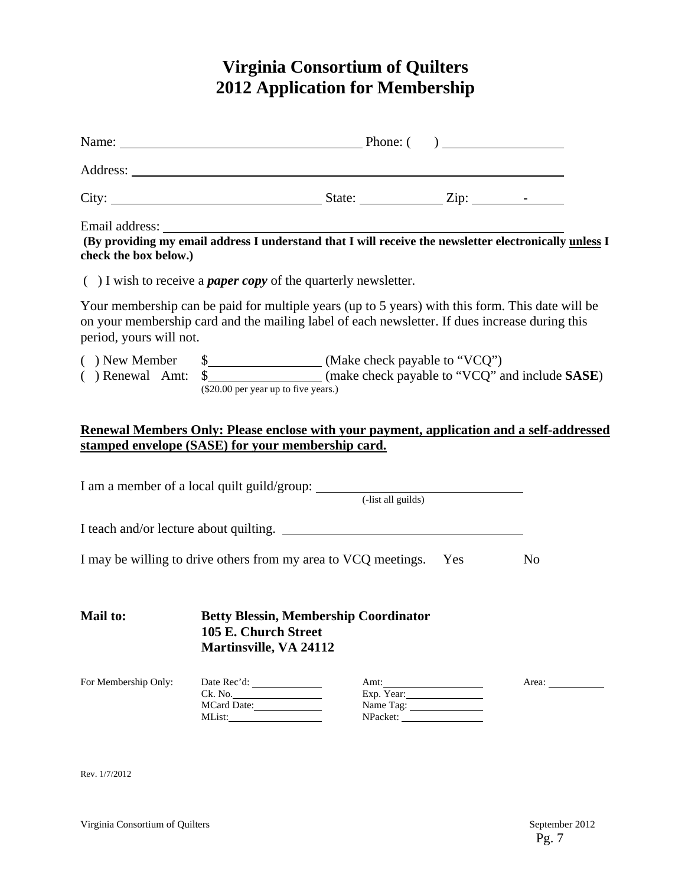# **Virginia Consortium of Quilters 2012 Application for Membership**

| Name: <u>Name:</u> Phone: ( )                                                                                                                                                                                                         |                                      |                                                                      |                         |                |
|---------------------------------------------------------------------------------------------------------------------------------------------------------------------------------------------------------------------------------------|--------------------------------------|----------------------------------------------------------------------|-------------------------|----------------|
|                                                                                                                                                                                                                                       |                                      |                                                                      |                         |                |
|                                                                                                                                                                                                                                       |                                      |                                                                      |                         |                |
| Email address: The address of the set of the set of the set of the set of the set of the set of the pewsletter electronically unless I understand that I will receive the newsletter electronically unless I<br>check the box below.) |                                      |                                                                      |                         |                |
| $( )$ I wish to receive a <i>paper copy</i> of the quarterly newsletter.                                                                                                                                                              |                                      |                                                                      |                         |                |
| Your membership can be paid for multiple years (up to 5 years) with this form. This date will be<br>on your membership card and the mailing label of each newsletter. If dues increase during this<br>period, yours will not.         |                                      |                                                                      |                         |                |
|                                                                                                                                                                                                                                       | (\$20.00 per year up to five years.) |                                                                      |                         |                |
| Renewal Members Only: Please enclose with your payment, application and a self-addressed                                                                                                                                              |                                      |                                                                      |                         |                |
| stamped envelope (SASE) for your membership card.                                                                                                                                                                                     |                                      |                                                                      |                         |                |
|                                                                                                                                                                                                                                       |                                      |                                                                      |                         |                |
|                                                                                                                                                                                                                                       |                                      |                                                                      |                         |                |
| I may be willing to drive others from my area to VCQ meetings. Yes                                                                                                                                                                    |                                      |                                                                      |                         | N <sub>o</sub> |
| Mail to:                                                                                                                                                                                                                              | <b>Martinsville, VA 24112</b>        | <b>Betty Blessin, Membership Coordinator</b><br>105 E. Church Street |                         |                |
| For Membership Only:                                                                                                                                                                                                                  | Ck. No.<br>MCard Date:               |                                                                      | Exp. Year:<br>Name Tag: | Area:          |

Rev. 1/7/2012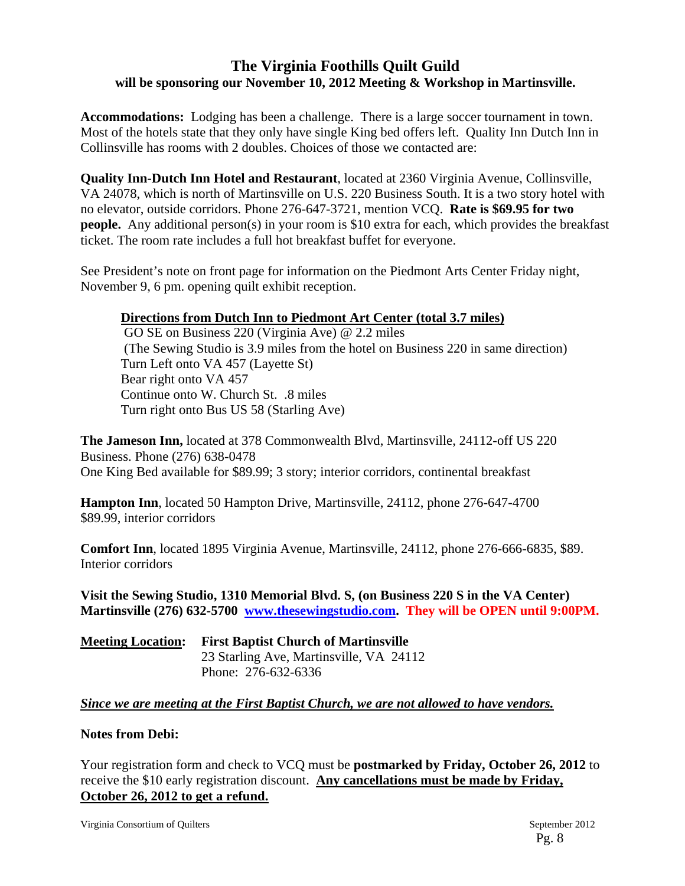## **The Virginia Foothills Quilt Guild will be sponsoring our November 10, 2012 Meeting & Workshop in Martinsville.**

**Accommodations:** Lodging has been a challenge. There is a large soccer tournament in town. Most of the hotels state that they only have single King bed offers left. Quality Inn Dutch Inn in Collinsville has rooms with 2 doubles. Choices of those we contacted are:

**Quality Inn-Dutch Inn Hotel and Restaurant**, located at 2360 Virginia Avenue, Collinsville, VA 24078, which is north of Martinsville on U.S. 220 Business South. It is a two story hotel with no elevator, outside corridors. Phone 276-647-3721, mention VCQ. **Rate is \$69.95 for two people.** Any additional person(s) in your room is \$10 extra for each, which provides the breakfast ticket. The room rate includes a full hot breakfast buffet for everyone.

See President's note on front page for information on the Piedmont Arts Center Friday night, November 9, 6 pm. opening quilt exhibit reception.

### **Directions from Dutch Inn to Piedmont Art Center (total 3.7 miles)**

 GO SE on Business 220 (Virginia Ave) @ 2.2 miles (The Sewing Studio is 3.9 miles from the hotel on Business 220 in same direction) Turn Left onto VA 457 (Layette St) Bear right onto VA 457 Continue onto W. Church St. .8 miles Turn right onto Bus US 58 (Starling Ave)

**The Jameson Inn,** located at 378 Commonwealth Blvd, Martinsville, 24112-off US 220 Business. Phone (276) 638-0478 One King Bed available for \$89.99; 3 story; interior corridors, continental breakfast

**Hampton Inn**, located 50 Hampton Drive, Martinsville, 24112, phone 276-647-4700 \$89.99, interior corridors

**Comfort Inn**, located 1895 Virginia Avenue, Martinsville, 24112, phone 276-666-6835, \$89. Interior corridors

**Visit the Sewing Studio, 1310 Memorial Blvd. S, (on Business 220 S in the VA Center) Martinsville (276) 632-5700 www.thesewingstudio.com. They will be OPEN until 9:00PM.**

| <b>Meeting Location:</b> | <b>First Baptist Church of Martinsville</b> |  |  |
|--------------------------|---------------------------------------------|--|--|
|                          | 23 Starling Ave, Martinsville, VA 24112     |  |  |
|                          | Phone: 276-632-6336                         |  |  |

### *Since we are meeting at the First Baptist Church, we are not allowed to have vendors.*

### **Notes from Debi:**

Your registration form and check to VCQ must be **postmarked by Friday, October 26, 2012** to receive the \$10 early registration discount. **Any cancellations must be made by Friday, October 26, 2012 to get a refund.**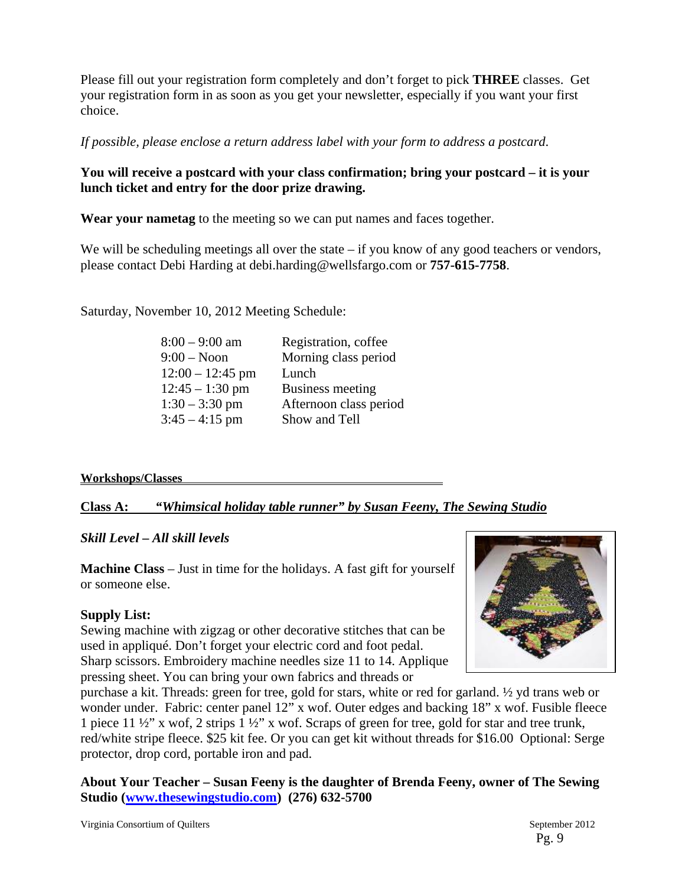Please fill out your registration form completely and don't forget to pick **THREE** classes. Get your registration form in as soon as you get your newsletter, especially if you want your first choice.

*If possible, please enclose a return address label with your form to address a postcard*.

## **You will receive a postcard with your class confirmation; bring your postcard – it is your lunch ticket and entry for the door prize drawing.**

**Wear your nametag** to the meeting so we can put names and faces together.

We will be scheduling meetings all over the state  $-$  if you know of any good teachers or vendors, please contact Debi Harding at debi.harding@wellsfargo.com or **757-615-7758**.

Saturday, November 10, 2012 Meeting Schedule:

| $8:00 - 9:00$ am            | Registration, coffee   |
|-----------------------------|------------------------|
| $9:00 - N$ oon              | Morning class period   |
| $12:00 - 12:45$ pm<br>Lunch |                        |
| $12:45 - 1:30$ pm           | Business meeting       |
| $1:30 - 3:30$ pm            | Afternoon class period |
| $3:45 - 4:15$ pm            | Show and Tell          |

### **Workshops/Classes**

**Class A:** *"Whimsical holiday table runner" by Susan Feeny, The Sewing Studio* 

## *Skill Level – All skill levels*

**Machine Class** – Just in time for the holidays. A fast gift for yourself or someone else.

## **Supply List:**

Sewing machine with zigzag or other decorative stitches that can be used in appliqué. Don't forget your electric cord and foot pedal. Sharp scissors. Embroidery machine needles size 11 to 14. Applique pressing sheet. You can bring your own fabrics and threads or



purchase a kit. Threads: green for tree, gold for stars, white or red for garland. ½ yd trans web or wonder under. Fabric: center panel 12" x wof. Outer edges and backing 18" x wof. Fusible fleece 1 piece 11 ½" x wof, 2 strips 1 ½" x wof. Scraps of green for tree, gold for star and tree trunk, red/white stripe fleece. \$25 kit fee. Or you can get kit without threads for \$16.00 Optional: Serge protector, drop cord, portable iron and pad.

**About Your Teacher – Susan Feeny is the daughter of Brenda Feeny, owner of The Sewing Studio (www.thesewingstudio.com) (276) 632-5700**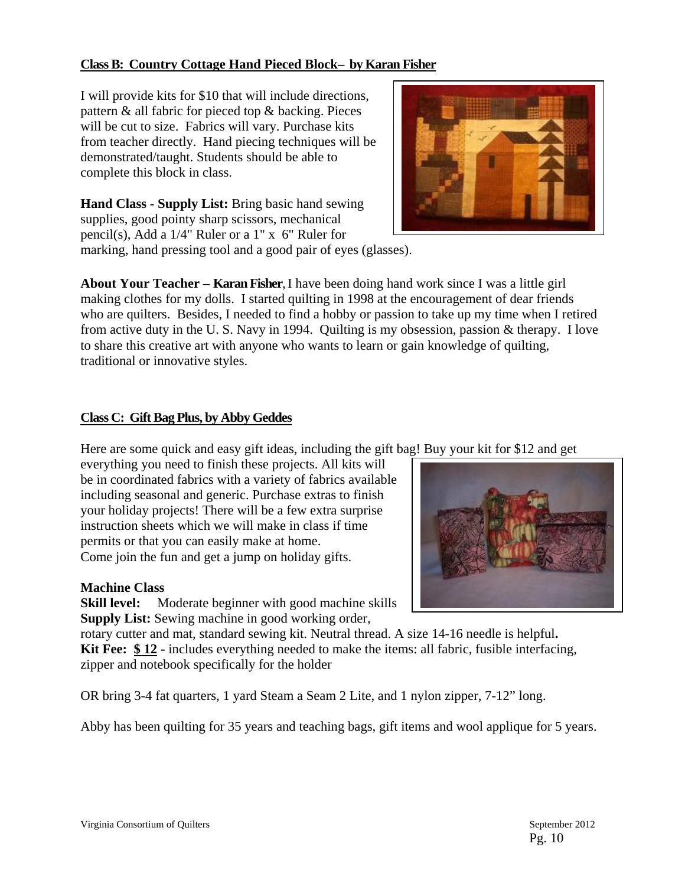### **Class B: Country Cottage Hand Pieced Block– by Karan Fisher**

I will provide kits for \$10 that will include directions, pattern & all fabric for pieced top & backing. Pieces will be cut to size. Fabrics will vary. Purchase kits from teacher directly. Hand piecing techniques will be demonstrated/taught. Students should be able to complete this block in class.

**Hand Class - Supply List:** Bring basic hand sewing supplies, good pointy sharp scissors, mechanical pencil(s), Add a 1/4" Ruler or a 1" x 6" Ruler for marking, hand pressing tool and a good pair of eyes (glasses).

**About Your Teacher – Karan Fisher**, I have been doing hand work since I was a little girl making clothes for my dolls. I started quilting in 1998 at the encouragement of dear friends who are quilters. Besides, I needed to find a hobby or passion to take up my time when I retired from active duty in the U. S. Navy in 1994. Quilting is my obsession, passion & therapy. I love to share this creative art with anyone who wants to learn or gain knowledge of quilting, traditional or innovative styles.

### **Class C: Gift Bag Plus, by Abby Geddes**

Here are some quick and easy gift ideas, including the gift bag! Buy your kit for \$12 and get

everything you need to finish these projects. All kits will be in coordinated fabrics with a variety of fabrics available including seasonal and generic. Purchase extras to finish your holiday projects! There will be a few extra surprise instruction sheets which we will make in class if time permits or that you can easily make at home. Come join the fun and get a jump on holiday gifts.

### **Machine Class**

**Skill level:** Moderate beginner with good machine skills **Supply List:** Sewing machine in good working order,

rotary cutter and mat, standard sewing kit. Neutral thread. A size 14-16 needle is helpful**. Kit Fee: \$ 12 -** includes everything needed to make the items: all fabric, fusible interfacing, zipper and notebook specifically for the holder

OR bring 3-4 fat quarters, 1 yard Steam a Seam 2 Lite, and 1 nylon zipper, 7-12" long.

Abby has been quilting for 35 years and teaching bags, gift items and wool applique for 5 years.



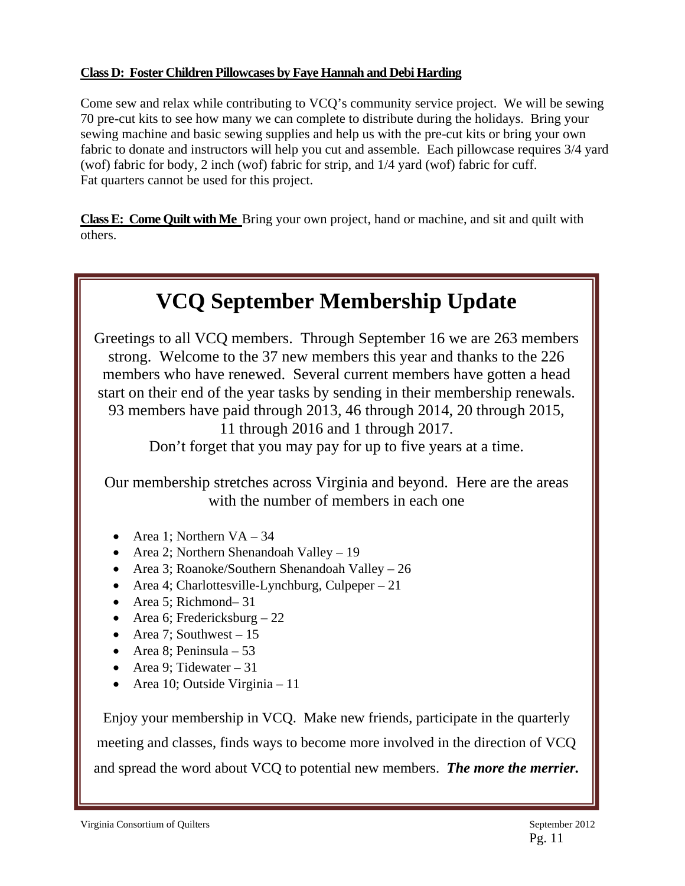### **Class D: Foster Children Pillowcases by Faye Hannah and Debi Harding**

Come sew and relax while contributing to VCQ's community service project. We will be sewing 70 pre-cut kits to see how many we can complete to distribute during the holidays. Bring your sewing machine and basic sewing supplies and help us with the pre-cut kits or bring your own fabric to donate and instructors will help you cut and assemble. Each pillowcase requires 3/4 yard (wof) fabric for body, 2 inch (wof) fabric for strip, and 1/4 yard (wof) fabric for cuff. Fat quarters cannot be used for this project.

**Class E: Come Quilt with Me** Bring your own project, hand or machine, and sit and quilt with others.

# **VCQ September Membership Update**

Greetings to all VCQ members. Through September 16 we are 263 members strong. Welcome to the 37 new members this year and thanks to the 226 members who have renewed. Several current members have gotten a head start on their end of the year tasks by sending in their membership renewals. 93 members have paid through 2013, 46 through 2014, 20 through 2015, 11 through 2016 and 1 through 2017. Don't forget that you may pay for up to five years at a time.

Our membership stretches across Virginia and beyond. Here are the areas with the number of members in each one

- Area 1; Northern  $VA 34$
- Area 2; Northern Shenandoah Valley 19
- Area 3; Roanoke/Southern Shenandoah Valley 26
- Area 4; Charlottesville-Lynchburg, Culpeper  $-21$
- Area 5; Richmond– 31
- Area 6; Fredericksburg  $-22$
- Area 7; Southwest  $-15$
- Area 8: Peninsula  $53$
- Area 9; Tidewater 31
- Area 10; Outside Virginia 11

Enjoy your membership in VCQ. Make new friends, participate in the quarterly meeting and classes, finds ways to become more involved in the direction of VCQ and spread the word about VCQ to potential new members. *The more the merrier.*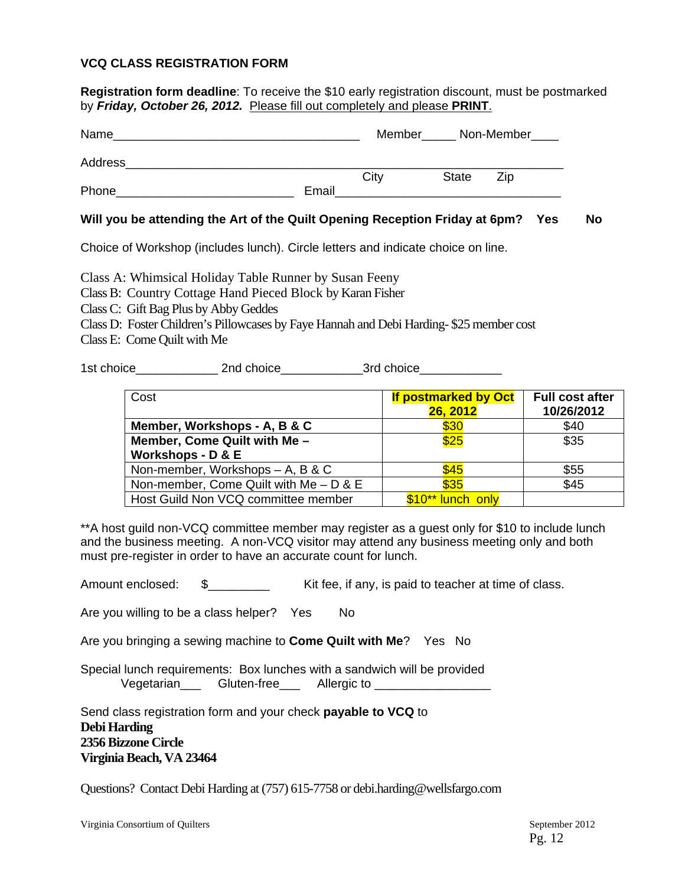#### **VCQ CLASS REGISTRATION FORM**

**Registration form deadline**: To receive the \$10 early registration discount, must be postmarked by *Friday, October 26, 2012.* Please fill out completely and please **PRINT**.

| Name    |       |      |              | Member_______ Non-Member_____ |
|---------|-------|------|--------------|-------------------------------|
| Address |       |      |              |                               |
|         |       | City | <b>State</b> | Zip                           |
| Phone   | Email |      |              |                               |

#### **Will you be attending the Art of the Quilt Opening Reception Friday at 6pm? Yes No**

Choice of Workshop (includes lunch). Circle letters and indicate choice on line.

Class A: Whimsical Holiday Table Runner by Susan Feeny

Class B: Country Cottage Hand Pieced Block by Karan Fisher

Class C: Gift Bag Plus by Abby Geddes

Class D: Foster Children's Pillowcases by Faye Hannah and Debi Harding- \$25 member cost

Class E: Come Quilt with Me

1st choice 2nd choice 2nd choice 3rd choice

| Cost                                     | <b>If postmarked by Oct</b><br>26, 2012 | <b>Full cost after</b><br>10/26/2012 |
|------------------------------------------|-----------------------------------------|--------------------------------------|
| Member, Workshops - A, B & C             | \$30                                    | \$40                                 |
| Member, Come Quilt with Me -             | \$25                                    | \$35                                 |
| Workshops - D & E                        |                                         |                                      |
| Non-member, Workshops - A, B & C         | \$45                                    | \$55                                 |
| Non-member, Come Quilt with $Me - D & E$ | \$35                                    | \$45                                 |
| Host Guild Non VCQ committee member      | \$10** lunch only                       |                                      |

\*\*A host guild non-VCQ committee member may register as a guest only for \$10 to include lunch and the business meeting. A non-VCQ visitor may attend any business meeting only and both must pre-register in order to have an accurate count for lunch.

Amount enclosed:  $\$\$$  Kit fee, if any, is paid to teacher at time of class.

Are you willing to be a class helper? Yes No

Are you bringing a sewing machine to **Come Quilt with Me**? Yes No

Special lunch requirements: Box lunches with a sandwich will be provided Vegetarian Gluten-free Allergic to

Send class registration form and your check **payable to VCQ** to **Debi Harding 2356 Bizzone Circle Virginia Beach, VA 23464** 

Questions? Contact Debi Harding at (757) 615-7758 or debi.harding@wellsfargo.com